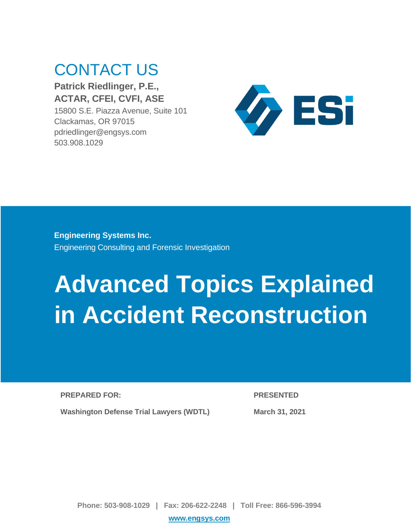### CONTACT US

**Patrick Riedlinger, P.E., ACTAR, CFEI, CVFI, ASE** 15800 S.E. Piazza Avenue, Suite 101 Clackamas, OR 97015 pdriedlinger@engsys.com 503.908.1029



**Engineering Systems Inc.** Engineering Consulting and Forensic Investigation

# **Advanced Topics Explained in Accident Reconstruction**

**PREPARED FOR: PRESENTED**

**Washington Defense Trial Lawyers (WDTL)** March 31, 2021

**Phone: 503-908-1029 | Fax: 206-622-2248 | Toll Free: 866-596-3994**

**[www.engsys.com](http://www.engsys.com/)**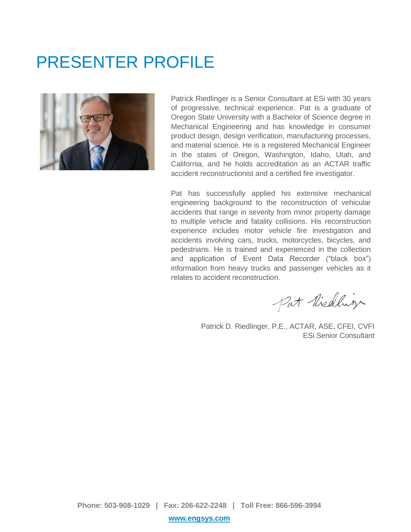## PRESENTER PROFILE



Patrick Riedlinger is a Senior Consultant at ESi with 30 years of progressive, technical experience. Pat is a graduate of Oregon State University with a Bachelor of Science degree in Mechanical Engineering and has knowledge in consumer product design, design verification, manufacturing processes, and material science. He is a registered Mechanical Engineer in the states of Oregon, Washington, Idaho, Utah, and California, and he holds accreditation as an ACTAR traffic accident reconstructionist and a certified fire investigator.

Pat has successfully applied his extensive mechanical engineering background to the reconstruction of vehicular accidents that range in severity from minor property damage to multiple vehicle and fatality collisions. His reconstruction experience includes motor vehicle fire investigation and accidents involving cars, trucks, motorcycles, bicycles, and pedestrians. He is trained and experienced in the collection and application of Event Data Recorder ("black box") information from heavy trucks and passenger vehicles as it relates to accident reconstruction.

Pot Niedligs

Patrick D. Riedlinger, P.E., ACTAR, ASE, CFEI, CVFI ESi Senior Consultant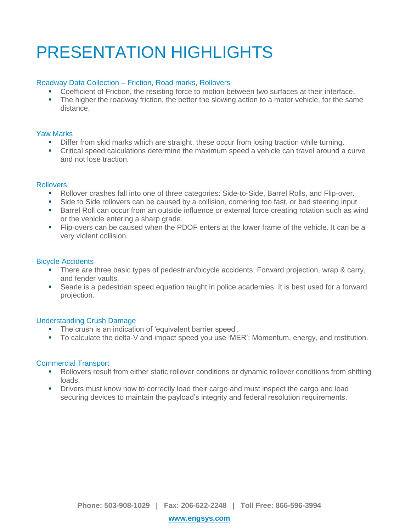# PRESENTATION HIGHLIGHTS

#### Roadway Data Collection – Friction, Road marks, Rollovers

- Coefficient of Friction, the resisting force to motion between two surfaces at their interface.
- **•** The higher the roadway friction, the better the slowing action to a motor vehicle, for the same distance.

#### Yaw Marks

- **EXECT** Differ from skid marks which are straight, these occur from losing traction while turning.
- **•** Critical speed calculations determine the maximum speed a vehicle can travel around a curve and not lose traction.

#### Rollovers

- Rollover crashes fall into one of three categories: Side-to-Side, Barrel Rolls, and Flip-over.
- Side to Side rollovers can be caused by a collision, cornering too fast, or bad steering input
- Barrel Roll can occur from an outside influence or external force creating rotation such as wind or the vehicle entering a sharp grade.
- **EXECT FIIP-OVERS** can be caused when the PDOF enters at the lower frame of the vehicle. It can be a very violent collision.

#### Bicycle Accidents

- **•** There are three basic types of pedestrian/bicycle accidents; Forward projection, wrap & carry, and fender vaults.
- Searle is a pedestrian speed equation taught in police academies. It is best used for a forward projection.

#### Understanding Crush Damage

- The crush is an indication of 'equivalent barrier speed'.
- To calculate the delta-V and impact speed you use 'MER': Momentum, energy, and restitution.

#### Commercial Transport

- **•** Rollovers result from either static rollover conditions or dynamic rollover conditions from shifting loads.
- **•** Drivers must know how to correctly load their cargo and must inspect the cargo and load securing devices to maintain the payload's integrity and federal resolution requirements.

#### **[www.engsys.com](http://www.engsys.com/)**